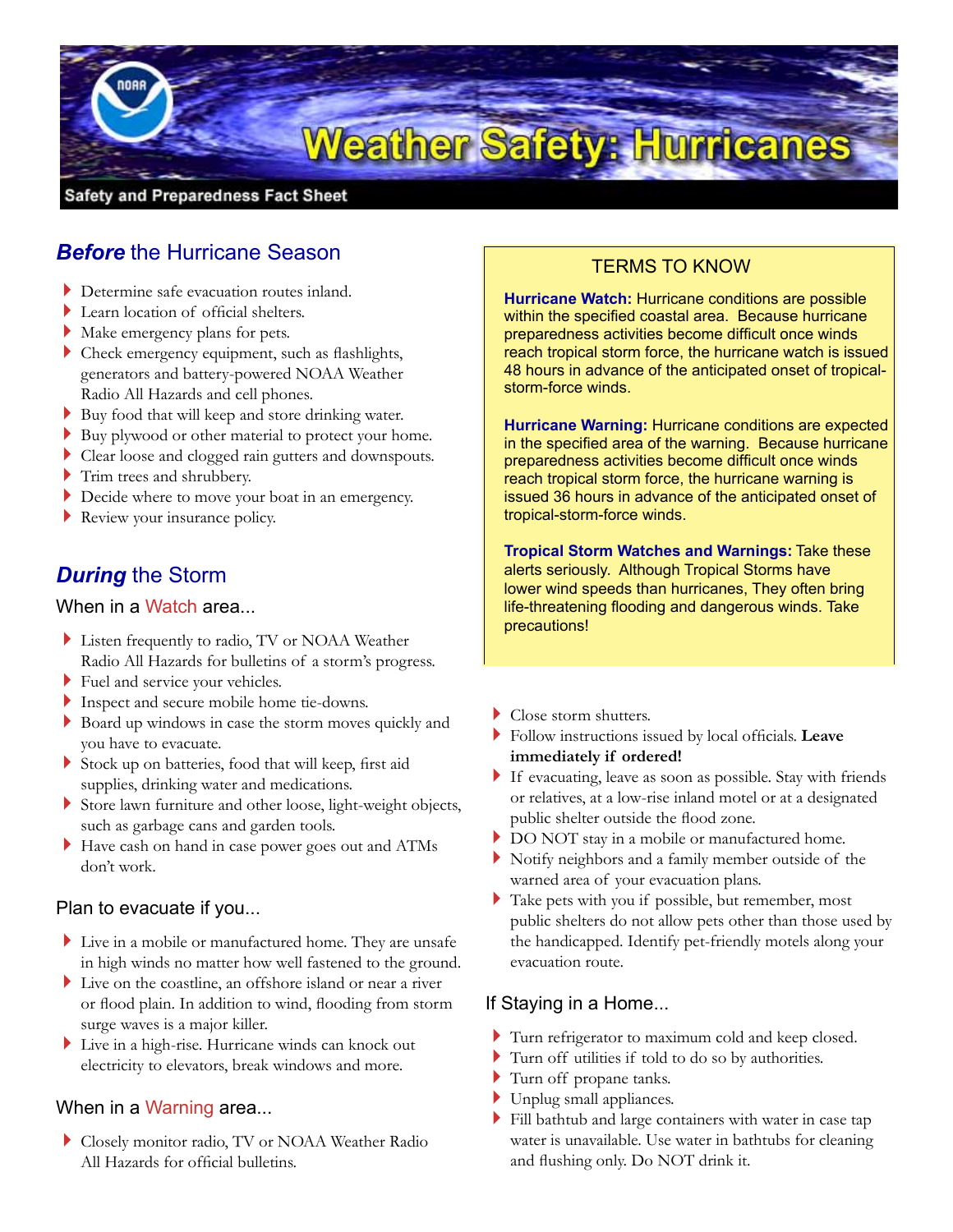

# *Before* the Hurricane Season

- Determine safe evacuation routes inland.
- Learn location of official shelters.
- Make emergency plans for pets.
- Check emergency equipment, such as flashlights, generators and battery-powered NOAA Weather Radio All Hazards and cell phones.
- Buy food that will keep and store drinking water.
- Buy plywood or other material to protect your home.
- Clear loose and clogged rain gutters and downspouts.
- Trim trees and shrubbery.
- Decide where to move your boat in an emergency.
- Review your insurance policy.

## *During* the Storm

#### When in a Watch area...

- Listen frequently to radio, TV or NOAA Weather Radio All Hazards for bulletins of a storm's progress.
- Fuel and service your vehicles.
- Inspect and secure mobile home tie-downs.
- Board up windows in case the storm moves quickly and you have to evacuate.
- Stock up on batteries, food that will keep, first aid supplies, drinking water and medications.
- Store lawn furniture and other loose, light-weight objects, such as garbage cans and garden tools.
- Have cash on hand in case power goes out and ATMs don't work.

#### Plan to evacuate if you...

- Live in a mobile or manufactured home. They are unsafe in high winds no matter how well fastened to the ground.
- Live on the coastline, an offshore island or near a river or flood plain. In addition to wind, flooding from storm surge waves is a major killer.
- Live in a high-rise. Hurricane winds can knock out electricity to elevators, break windows and more.

#### When in a Warning area...

Closely monitor radio, TV or NOAA Weather Radio All Hazards for official bulletins.

## TERMS TO KNOW

**Hurricane Watch:** Hurricane conditions are possible within the specified coastal area. Because hurricane preparedness activities become difficult once winds reach tropical storm force, the hurricane watch is issued 48 hours in advance of the anticipated onset of tropicalstorm-force winds.

**Hurricane Warning:** Hurricane conditions are expected in the specified area of the warning. Because hurricane preparedness activities become difficult once winds reach tropical storm force, the hurricane warning is issued 36 hours in advance of the anticipated onset of tropical-storm-force winds.

**Tropical Storm Watches and Warnings:** Take these alerts seriously. Although Tropical Storms have lower wind speeds than hurricanes, They often bring life-threatening flooding and dangerous winds. Take precautions!

- Close storm shutters.
- Follow instructions issued by local officials. **Leave immediately if ordered!**
- If evacuating, leave as soon as possible. Stay with friends or relatives, at a low-rise inland motel or at a designated public shelter outside the flood zone.
- DO NOT stay in a mobile or manufactured home.
- Notify neighbors and a family member outside of the warned area of your evacuation plans.
- Take pets with you if possible, but remember, most public shelters do not allow pets other than those used by the handicapped. Identify pet-friendly motels along your evacuation route.

#### If Staying in a Home...

- Turn refrigerator to maximum cold and keep closed.
- Turn off utilities if told to do so by authorities.
- Turn off propane tanks.
- Unplug small appliances.
- Fill bathtub and large containers with water in case tap water is unavailable. Use water in bathtubs for cleaning and flushing only. Do NOT drink it.